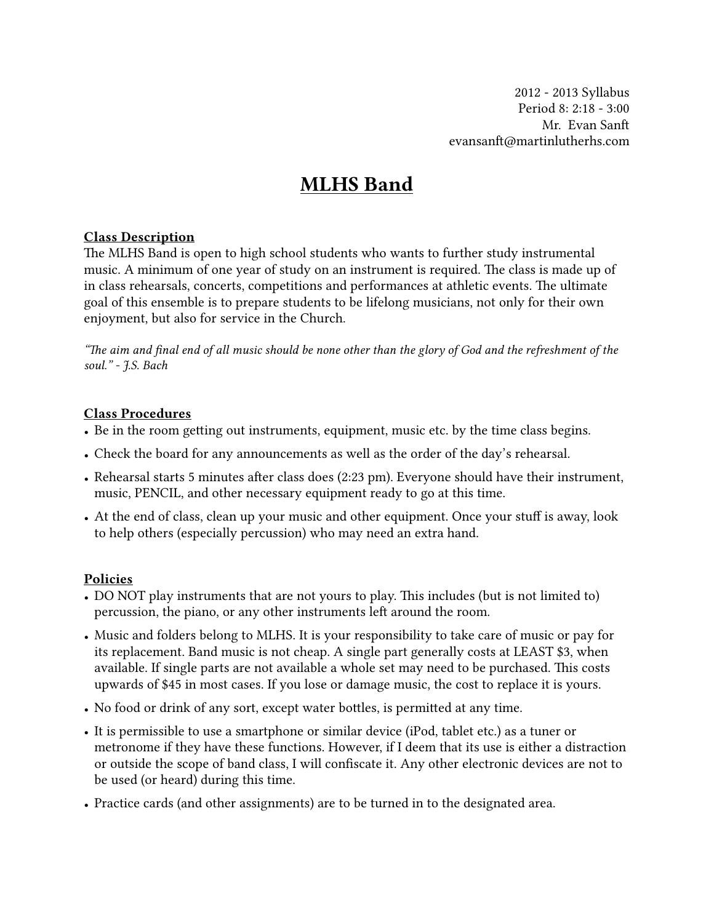2012 - 2013 Syllabus Period 8: 2:18 - 3:00 Mr. Evan San evansanft@martinlutherhs.com

# MLHS Band

## Class Description

The MLHS Band is open to high school students who wants to further study instrumental music. A minimum of one year of study on an instrument is required. The class is made up of in class rehearsals, concerts, competitions and performances at athletic events. The ultimate goal of this ensemble is to prepare students to be lifelong musicians, not only for their own enjoyment, but also for service in the Church.

*"e aim and* fi*nal end of all music should be none other than the glory of God and the refreshment of the soul." - J.S. Bach*

#### Class Procedures

- Be in the room getting out instruments, equipment, music etc. by the time class begins.
- Check the board for any announcements as well as the order of the day's rehearsal.
- Rehearsal starts 5 minutes after class does (2:23 pm). Everyone should have their instrument, music, PENCIL, and other necessary equipment ready to go at this time.
- At the end of class, clean up your music and other equipment. Once your stuff is away, look to help others (especially percussion) who may need an extra hand.

### Policies

- DO NOT play instruments that are not yours to play. This includes (but is not limited to) percussion, the piano, or any other instruments left around the room.
- Music and folders belong to MLHS. It is your responsibility to take care of music or pay for its replacement. Band music is not cheap. A single part generally costs at LEAST \$3, when available. If single parts are not available a whole set may need to be purchased. This costs upwards of \$45 in most cases. If you lose or damage music, the cost to replace it is yours.
- No food or drink of any sort, except water bottles, is permitted at any time.
- It is permissible to use a smartphone or similar device (iPod, tablet etc.) as a tuner or metronome if they have these functions. However, if I deem that its use is either a distraction or outside the scope of band class, I will confiscate it. Any other electronic devices are not to be used (or heard) during this time.
- Practice cards (and other assignments) are to be turned in to the designated area.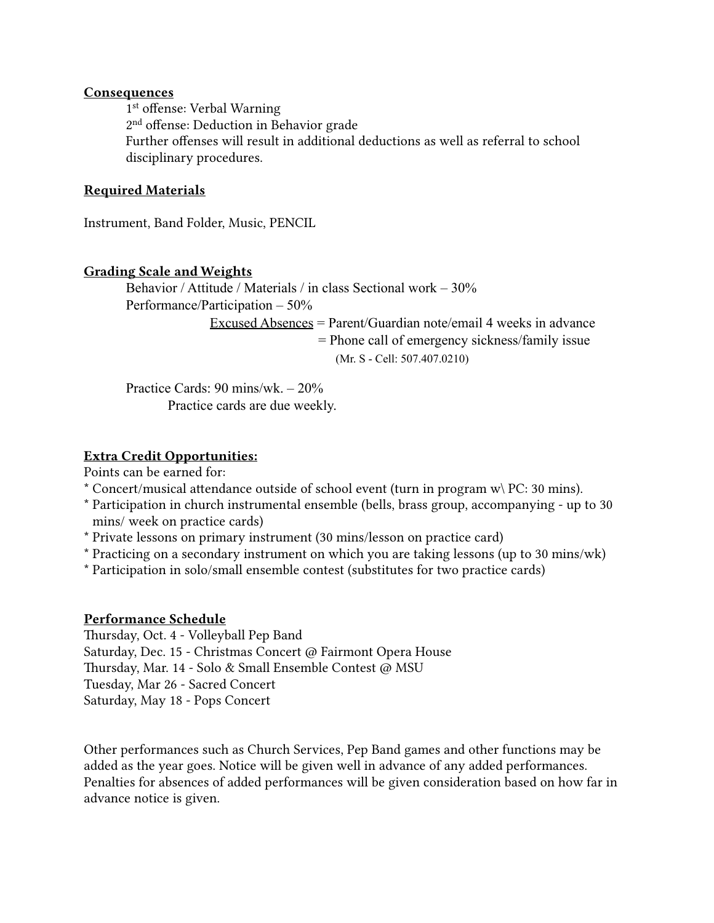#### **Consequences**

 1st offense: Verbal Warning 2nd offense: Deduction in Behavior grade Further offenses will result in additional deductions as well as referral to school disciplinary procedures.

## Required Materials

Instrument, Band Folder, Music, PENCIL

### Grading Scale and Weights

Behavior / Attitude / Materials / in class Sectional work – 30% Performance/Participation – 50% Excused Absences = Parent/Guardian note/email 4 weeks in advance = Phone call of emergency sickness/family issue (Mr. S - Cell: 507.407.0210)

Practice Cards: 90 mins/wk. – 20% Practice cards are due weekly.

## Extra Credit Opportunities:

Points can be earned for:

- \* Concert/musical attendance outside of school event (turn in program  $w\$  PC: 30 mins).
- \* Participation in church instrumental ensemble (bells, brass group, accompanying up to 30 mins/ week on practice cards)
- \* Private lessons on primary instrument (30 mins/lesson on practice card)
- \* Practicing on a secondary instrument on which you are taking lessons (up to 30 mins/wk)
- \* Participation in solo/small ensemble contest (substitutes for two practice cards)

### Performance Schedule

Thursday, Oct. 4 - Volleyball Pep Band Saturday, Dec. 15 - Christmas Concert @ Fairmont Opera House Thursday, Mar. 14 - Solo & Small Ensemble Contest @ MSU Tuesday, Mar 26 - Sacred Concert Saturday, May 18 - Pops Concert

Other performances such as Church Services, Pep Band games and other functions may be added as the year goes. Notice will be given well in advance of any added performances. Penalties for absences of added performances will be given consideration based on how far in advance notice is given.